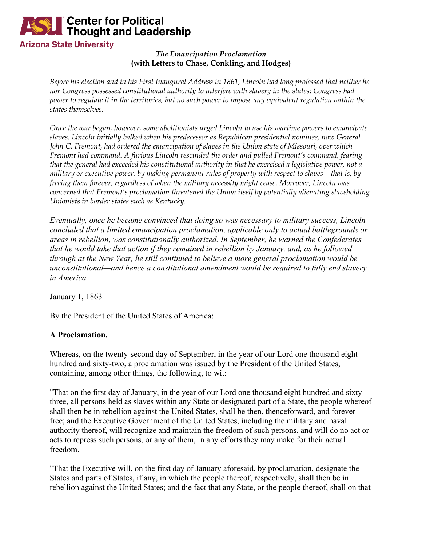

### *The Emancipation Proclamation* **(with Letters to Chase, Conkling, and Hodges)**

*Before his election and in his First Inaugural Address in 1861, Lincoln had long professed that neither he nor Congress possessed constitutional authority to interfere with slavery in the states: Congress had power to regulate it in the territories, but no such power to impose any equivalent regulation within the states themselves.* 

*Once the war began, however, some abolitionists urged Lincoln to use his wartime powers to emancipate slaves. Lincoln initially balked when his predecessor as Republican presidential nominee, now General John C. Fremont, had ordered the emancipation of slaves in the Union state of Missouri, over which Fremont had command. A furious Lincoln rescinded the order and pulled Fremont's command, fearing that the general had exceeded his constitutional authority in that he exercised a legislative power, not a military or executive power, by making permanent rules of property with respect to slaves—that is, by freeing them forever, regardless of when the military necessity might cease. Moreover, Lincoln was concerned that Fremont's proclamation threatened the Union itself by potentially alienating slaveholding Unionists in border states such as Kentucky.*

*Eventually, once he became convinced that doing so was necessary to military success, Lincoln concluded that a limited emancipation proclamation, applicable only to actual battlegrounds or areas in rebellion, was constitutionally authorized. In September, he warned the Confederates that he would take that action if they remained in rebellion by January, and, as he followed through at the New Year, he still continued to believe a more general proclamation would be unconstitutional—and hence a constitutional amendment would be required to fully end slavery in America.*

January 1, 1863

By the President of the United States of America:

# **A Proclamation.**

Whereas, on the twenty-second day of September, in the year of our Lord one thousand eight hundred and sixty-two, a proclamation was issued by the President of the United States, containing, among other things, the following, to wit:

"That on the first day of January, in the year of our Lord one thousand eight hundred and sixtythree, all persons held as slaves within any State or designated part of a State, the people whereof shall then be in rebellion against the United States, shall be then, thenceforward, and forever free; and the Executive Government of the United States, including the military and naval authority thereof, will recognize and maintain the freedom of such persons, and will do no act or acts to repress such persons, or any of them, in any efforts they may make for their actual freedom.

"That the Executive will, on the first day of January aforesaid, by proclamation, designate the States and parts of States, if any, in which the people thereof, respectively, shall then be in rebellion against the United States; and the fact that any State, or the people thereof, shall on that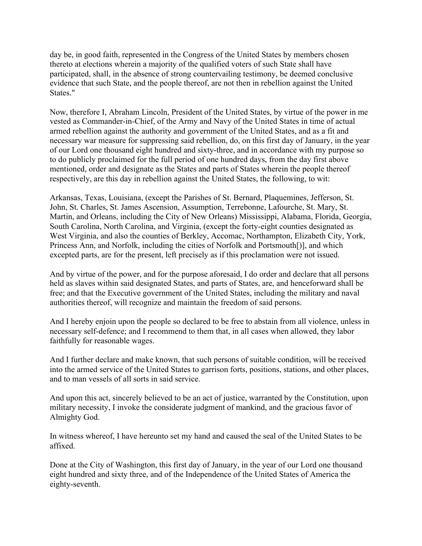day be, in good faith, represented in the Congress of the United States by members chosen thereto at elections wherein a majority of the qualified voters of such State shall have participated, shall, in the absence of strong countervailing testimony, be deemed conclusive evidence that such State, and the people thereof, are not then in rebellion against the United States."

Now, therefore I, Abraham Lincoln, President of the United States, by virtue of the power in me vested as Commander-in-Chief, of the Army and Navy of the United States in time of actual armed rebellion against the authority and government of the United States, and as a fit and necessary war measure for suppressing said rebellion, do, on this first day of January, in the year of our Lord one thousand eight hundred and sixty-three, and in accordance with my purpose so to do publicly proclaimed for the full period of one hundred days, from the day first above mentioned, order and designate as the States and parts of States wherein the people thereof respectively, are this day in rebellion against the United States, the following, to wit:

Arkansas, Texas, Louisiana, (except the Parishes of St. Bernard, Plaquemines, Jefferson, St. John, St. Charles, St. James Ascension, Assumption, Terrebonne, Lafourche, St. Mary, St. Martin, and Orleans, including the City of New Orleans) Mississippi, Alabama, Florida, Georgia, South Carolina, North Carolina, and Virginia, (except the forty-eight counties designated as West Virginia, and also the counties of Berkley, Accomac, Northampton, Elizabeth City, York, Princess Ann, and Norfolk, including the cities of Norfolk and Portsmouth[)], and which excepted parts, are for the present, left precisely as if this proclamation were not issued.

And by virtue of the power, and for the purpose aforesaid, I do order and declare that all persons held as slaves within said designated States, and parts of States, are, and henceforward shall be free; and that the Executive government of the United States, including the military and naval authorities thereof, will recognize and maintain the freedom of said persons.

And I hereby enjoin upon the people so declared to be free to abstain from all violence, unless in necessary self-defence; and I recommend to them that, in all cases when allowed, they labor faithfully for reasonable wages.

And I further declare and make known, that such persons of suitable condition, will be received into the armed service of the United States to garrison forts, positions, stations, and other places, and to man vessels of all sorts in said service.

And upon this act, sincerely believed to be an act of justice, warranted by the Constitution, upon military necessity, I invoke the considerate judgment of mankind, and the gracious favor of Almighty God.

In witness whereof, I have hereunto set my hand and caused the seal of the United States to be affixed.

Done at the City of Washington, this first day of January, in the year of our Lord one thousand eight hundred and sixty three, and of the Independence of the United States of America the eighty-seventh.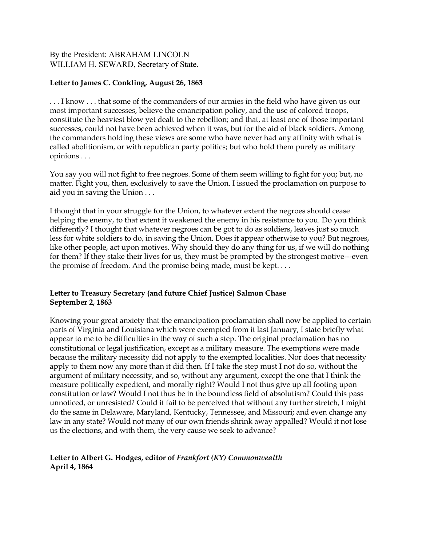## By the President: ABRAHAM LINCOLN WILLIAM H. SEWARD, Secretary of State.

### **Letter to James C. Conkling, August 26, 1863**

. . . I know . . . that some of the commanders of our armies in the field who have given us our most important successes, believe the emancipation policy, and the use of colored troops, constitute the heaviest blow yet dealt to the rebellion; and that, at least one of those important successes, could not have been achieved when it was, but for the aid of black soldiers. Among the commanders holding these views are some who have never had any affinity with what is called abolitionism, or with republican party politics; but who hold them purely as military opinions . . .

You say you will not fight to free negroes. Some of them seem willing to fight for you; but, no matter. Fight you, then, exclusively to save the Union. I issued the proclamation on purpose to aid you in saving the Union . . .

I thought that in your struggle for the Union, to whatever extent the negroes should cease helping the enemy, to that extent it weakened the enemy in his resistance to you. Do you think differently? I thought that whatever negroes can be got to do as soldiers, leaves just so much less for white soldiers to do, in saving the Union. Does it appear otherwise to you? But negroes, like other people, act upon motives. Why should they do any thing for us, if we will do nothing for them? If they stake their lives for us, they must be prompted by the strongest motive---even the promise of freedom. And the promise being made, must be kept. . . .

#### **Letter to Treasury Secretary (and future Chief Justice) Salmon Chase September 2, 1863**

Knowing your great anxiety that the emancipation proclamation shall now be applied to certain parts of Virginia and Louisiana which were exempted from it last January, I state briefly what appear to me to be difficulties in the way of such a step. The original proclamation has no constitutional or legal justification, except as a military measure. The exemptions were made because the military necessity did not apply to the exempted localities. Nor does that necessity apply to them now any more than it did then. If I take the step must I not do so, without the argument of military necessity, and so, without any argument, except the one that I think the measure politically expedient, and morally right? Would I not thus give up all footing upon constitution or law? Would I not thus be in the boundless field of absolutism? Could this pass unnoticed, or unresisted? Could it fail to be perceived that without any further stretch, I might do the same in Delaware, Maryland, Kentucky, Tennessee, and Missouri; and even change any law in any state? Would not many of our own friends shrink away appalled? Would it not lose us the elections, and with them, the very cause we seek to advance?

**Letter to Albert G. Hodges, editor of** *Frankfort (KY) Commonwealth* **April 4, 1864**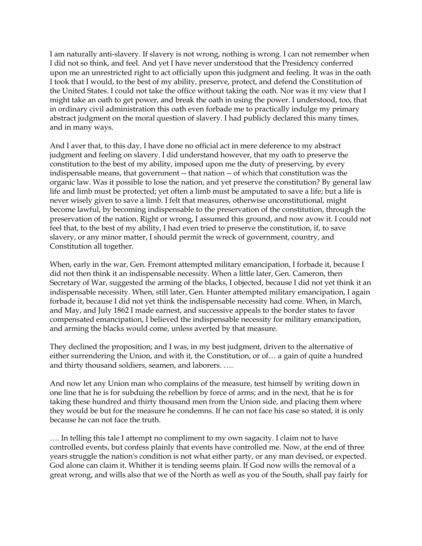I am naturally anti-slavery. If slavery is not wrong, nothing is wrong. I can not remember when I did not so think, and feel. And yet I have never understood that the Presidency conferred upon me an unrestricted right to act officially upon this judgment and feeling. It was in the oath I took that I would, to the best of my ability, preserve, protect, and defend the Constitution of the United States. I could not take the office without taking the oath. Nor was it my view that I might take an oath to get power, and break the oath in using the power. I understood, too, that in ordinary civil administration this oath even forbade me to practically indulge my primary abstract judgment on the moral question of slavery. I had publicly declared this many times, and in many ways.

And I aver that, to this day, I have done no official act in mere deference to my abstract judgment and feeling on slavery. I did understand however, that my oath to preserve the constitution to the best of my ability, imposed upon me the duty of preserving, by every indispensable means, that government -- that nation -- of which that constitution was the organic law. Was it possible to lose the nation, and yet preserve the constitution? By general law life and limb must be protected; yet often a limb must be amputated to save a life; but a life is never wisely given to save a limb. I felt that measures, otherwise unconstitutional, might become lawful, by becoming indispensable to the preservation of the constitution, through the preservation of the nation. Right or wrong, I assumed this ground, and now avow it. I could not feel that, to the best of my ability, I had even tried to preserve the constitution, if, to save slavery, or any minor matter, I should permit the wreck of government, country, and Constitution all together.

When, early in the war, Gen. Fremont attempted military emancipation, I forbade it, because I did not then think it an indispensable necessity. When a little later, Gen. Cameron, then Secretary of War, suggested the arming of the blacks, I objected, because I did not yet think it an indispensable necessity. When, still later, Gen. Hunter attempted military emancipation, I again forbade it, because I did not yet think the indispensable necessity had come. When, in March, and May, and July 1862 I made earnest, and successive appeals to the border states to favor compensated emancipation, I believed the indispensable necessity for military emancipation, and arming the blacks would come, unless averted by that measure.

They declined the proposition; and I was, in my best judgment, driven to the alternative of either surrendering the Union, and with it, the Constitution, or of… a gain of quite a hundred and thirty thousand soldiers, seamen, and laborers. ….

And now let any Union man who complains of the measure, test himself by writing down in one line that he is for subduing the rebellion by force of arms; and in the next, that he is for taking these hundred and thirty thousand men from the Union side, and placing them where they would be but for the measure he condemns. If he can not face his case so stated, it is only because he can not face the truth.

…. In telling this tale I attempt no compliment to my own sagacity. I claim not to have controlled events, but confess plainly that events have controlled me. Now, at the end of three years struggle the nation's condition is not what either party, or any man devised, or expected. God alone can claim it. Whither it is tending seems plain. If God now wills the removal of a great wrong, and wills also that we of the North as well as you of the South, shall pay fairly for